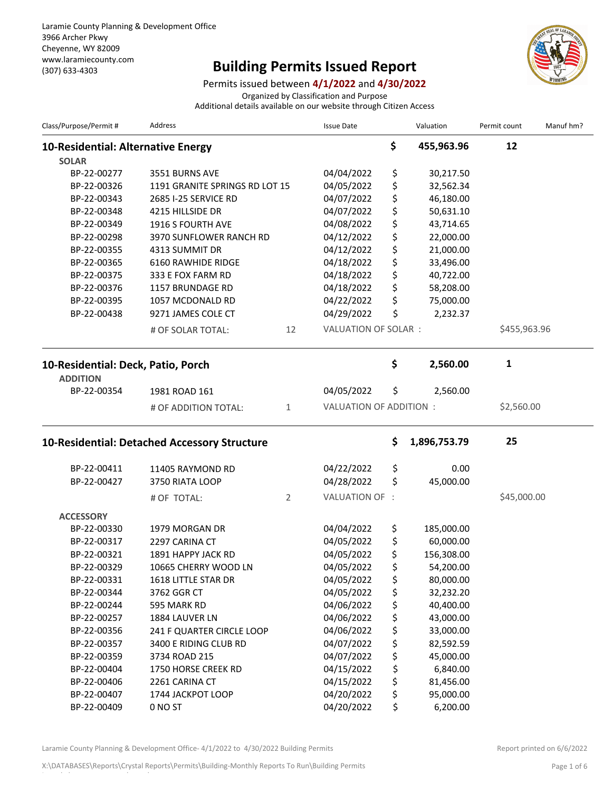## (307) 633-4303 **Building Permits Issued Report**



Permits issued between **4/1/2022** and **4/30/2022**

Organized by Classification and Purpose

Additional details available on our website through Citizen Access

| Class/Purpose/Permit #             | <b>Address</b>                               |    | <b>Issue Date</b>       |    | Valuation    | Permit count | Manuf hm? |
|------------------------------------|----------------------------------------------|----|-------------------------|----|--------------|--------------|-----------|
| 10-Residential: Alternative Energy |                                              |    |                         | \$ | 455,963.96   | 12           |           |
| <b>SOLAR</b>                       |                                              |    |                         |    |              |              |           |
| BP-22-00277                        | 3551 BURNS AVE                               |    | 04/04/2022              | \$ | 30,217.50    |              |           |
| BP-22-00326                        | 1191 GRANITE SPRINGS RD LOT 15               |    | 04/05/2022              | \$ | 32,562.34    |              |           |
| BP-22-00343                        | 2685 I-25 SERVICE RD                         |    | 04/07/2022              | \$ | 46,180.00    |              |           |
| BP-22-00348                        | 4215 HILLSIDE DR                             |    | 04/07/2022              | \$ | 50,631.10    |              |           |
| BP-22-00349                        | 1916 S FOURTH AVE                            |    | 04/08/2022              | \$ | 43,714.65    |              |           |
| BP-22-00298                        | 3970 SUNFLOWER RANCH RD                      |    | 04/12/2022              | \$ | 22,000.00    |              |           |
| BP-22-00355                        | 4313 SUMMIT DR                               |    | 04/12/2022              | \$ | 21,000.00    |              |           |
| BP-22-00365                        | 6160 RAWHIDE RIDGE                           |    | 04/18/2022              | \$ | 33,496.00    |              |           |
| BP-22-00375                        | 333 E FOX FARM RD                            |    | 04/18/2022              | \$ | 40,722.00    |              |           |
| BP-22-00376                        | 1157 BRUNDAGE RD                             |    | 04/18/2022              | \$ | 58,208.00    |              |           |
| BP-22-00395                        | 1057 MCDONALD RD                             |    | 04/22/2022              | \$ | 75,000.00    |              |           |
| BP-22-00438                        | 9271 JAMES COLE CT                           |    | 04/29/2022              | \$ | 2,232.37     |              |           |
|                                    | # OF SOLAR TOTAL:                            | 12 | VALUATION OF SOLAR:     |    |              | \$455,963.96 |           |
| 10-Residential: Deck, Patio, Porch |                                              |    |                         | \$ | 2,560.00     | 1            |           |
| <b>ADDITION</b>                    |                                              |    |                         |    |              |              |           |
| BP-22-00354                        | 1981 ROAD 161                                |    | 04/05/2022              | \$ | 2,560.00     |              |           |
|                                    | # OF ADDITION TOTAL:                         | 1  | VALUATION OF ADDITION : |    |              | \$2,560.00   |           |
|                                    | 10-Residential: Detached Accessory Structure |    |                         | \$ | 1,896,753.79 | 25           |           |
| BP-22-00411                        | 11405 RAYMOND RD                             |    | 04/22/2022              | \$ | 0.00         |              |           |
| BP-22-00427                        | 3750 RIATA LOOP                              |    | 04/28/2022              | \$ | 45,000.00    |              |           |
|                                    |                                              |    |                         |    |              |              |           |
|                                    | # OF TOTAL:                                  | 2  | VALUATION OF :          |    |              | \$45,000.00  |           |
| <b>ACCESSORY</b>                   |                                              |    |                         |    |              |              |           |
| BP-22-00330                        | 1979 MORGAN DR                               |    | 04/04/2022              | \$ | 185,000.00   |              |           |
| BP-22-00317                        | 2297 CARINA CT                               |    | 04/05/2022              | \$ | 60,000.00    |              |           |
| BP-22-00321                        | 1891 HAPPY JACK RD                           |    | 04/05/2022              | \$ | 156,308.00   |              |           |
| BP-22-00329                        | 10665 CHERRY WOOD LN                         |    | 04/05/2022              | ς  | 54,200.00    |              |           |
| BP-22-00331                        | 1618 LITTLE STAR DR                          |    | 04/05/2022              | \$ | 80,000.00    |              |           |
| BP-22-00344                        | 3762 GGR CT                                  |    | 04/05/2022              | \$ | 32,232.20    |              |           |
| BP-22-00244                        | 595 MARK RD                                  |    | 04/06/2022              | \$ | 40,400.00    |              |           |
| BP-22-00257                        | 1884 LAUVER LN                               |    | 04/06/2022              | \$ | 43,000.00    |              |           |
| BP-22-00356                        | 241 F QUARTER CIRCLE LOOP                    |    | 04/06/2022              | \$ | 33,000.00    |              |           |
| BP-22-00357                        | 3400 E RIDING CLUB RD                        |    | 04/07/2022              | \$ | 82,592.59    |              |           |
| BP-22-00359                        | 3734 ROAD 215                                |    | 04/07/2022              | \$ | 45,000.00    |              |           |
| BP-22-00404                        | 1750 HORSE CREEK RD                          |    | 04/15/2022              | \$ | 6,840.00     |              |           |
| BP-22-00406                        | 2261 CARINA CT                               |    | 04/15/2022              | \$ | 81,456.00    |              |           |
| BP-22-00407                        | 1744 JACKPOT LOOP                            |    | 04/20/2022              | \$ | 95,000.00    |              |           |
| BP-22-00409                        | 0 NO ST                                      |    | 04/20/2022              | \$ | 6,200.00     |              |           |

Laramie County Planning & Development Office- 4/1/2022 to 4/30/2022 Building Permits Report Report printed on 6/6/2022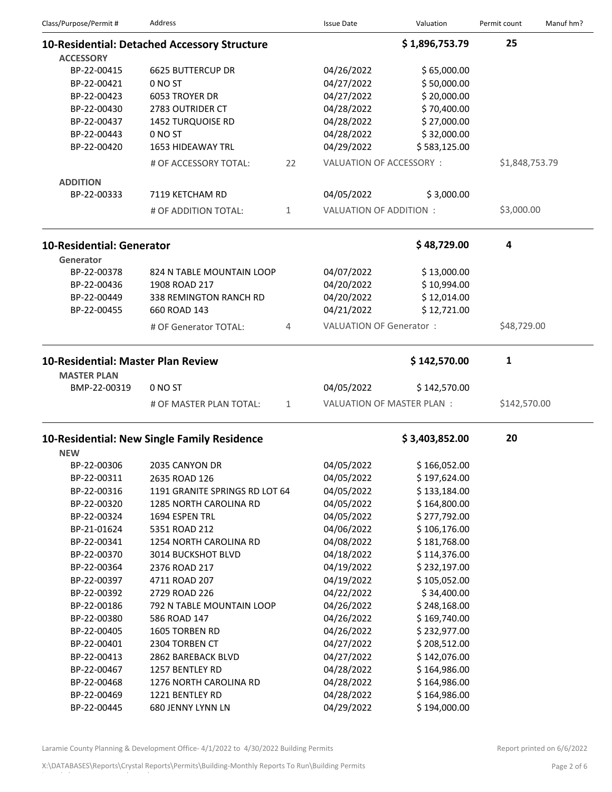| Class/Purpose/Permit #             | Address                                      |    | <b>Issue Date</b>              | Valuation      | Permit count   | Manuf hm? |
|------------------------------------|----------------------------------------------|----|--------------------------------|----------------|----------------|-----------|
|                                    | 10-Residential: Detached Accessory Structure |    |                                | \$1,896,753.79 | 25             |           |
| <b>ACCESSORY</b>                   |                                              |    |                                |                |                |           |
| BP-22-00415                        | <b>6625 BUTTERCUP DR</b>                     |    | 04/26/2022                     | \$65,000.00    |                |           |
| BP-22-00421                        | 0 NO ST                                      |    | 04/27/2022                     | \$50,000.00    |                |           |
| BP-22-00423                        | 6053 TROYER DR                               |    | 04/27/2022                     | \$20,000.00    |                |           |
| BP-22-00430                        | 2783 OUTRIDER CT                             |    | 04/28/2022                     | \$70,400.00    |                |           |
| BP-22-00437                        | <b>1452 TURQUOISE RD</b>                     |    | 04/28/2022                     | \$27,000.00    |                |           |
| BP-22-00443                        | 0 NO ST                                      |    | 04/28/2022                     | \$32,000.00    |                |           |
| BP-22-00420                        | 1653 HIDEAWAY TRL                            |    | 04/29/2022                     | \$583,125.00   |                |           |
|                                    | # OF ACCESSORY TOTAL:                        | 22 | VALUATION OF ACCESSORY:        |                | \$1,848,753.79 |           |
| <b>ADDITION</b>                    |                                              |    |                                |                |                |           |
| BP-22-00333                        | 7119 KETCHAM RD                              |    | 04/05/2022                     | \$3,000.00     |                |           |
|                                    | # OF ADDITION TOTAL:                         | 1  | VALUATION OF ADDITION :        |                | \$3,000.00     |           |
| <b>10-Residential: Generator</b>   |                                              |    |                                | \$48,729.00    | 4              |           |
| Generator                          |                                              |    |                                |                |                |           |
| BP-22-00378                        | 824 N TABLE MOUNTAIN LOOP                    |    | 04/07/2022                     | \$13,000.00    |                |           |
| BP-22-00436                        | 1908 ROAD 217                                |    | 04/20/2022                     | \$10,994.00    |                |           |
| BP-22-00449                        | 338 REMINGTON RANCH RD                       |    | 04/20/2022                     | \$12,014.00    |                |           |
| BP-22-00455                        | 660 ROAD 143                                 |    | 04/21/2022                     | \$12,721.00    |                |           |
|                                    | # OF Generator TOTAL:                        | 4  | <b>VALUATION OF Generator:</b> |                | \$48,729.00    |           |
| 10-Residential: Master Plan Review |                                              |    |                                | \$142,570.00   | 1              |           |
| <b>MASTER PLAN</b>                 |                                              |    |                                |                |                |           |
| BMP-22-00319                       | 0 NO ST                                      |    | 04/05/2022                     | \$142,570.00   |                |           |
|                                    | # OF MASTER PLAN TOTAL:                      | 1  | VALUATION OF MASTER PLAN :     |                | \$142,570.00   |           |
|                                    | 10-Residential: New Single Family Residence  |    |                                | \$3,403,852.00 | 20             |           |
| <b>NEW</b>                         |                                              |    |                                |                |                |           |
| BP-22-00306                        | 2035 CANYON DR                               |    | 04/05/2022                     | \$166,052.00   |                |           |
| BP-22-00311                        | 2635 ROAD 126                                |    | 04/05/2022                     | \$197,624.00   |                |           |
| BP-22-00316                        | 1191 GRANITE SPRINGS RD LOT 64               |    | 04/05/2022                     | \$133,184.00   |                |           |
| BP-22-00320                        | <b>1285 NORTH CAROLINA RD</b>                |    | 04/05/2022                     | \$164,800.00   |                |           |
| BP-22-00324                        | 1694 ESPEN TRL                               |    | 04/05/2022                     | \$277,792.00   |                |           |
| BP-21-01624                        | 5351 ROAD 212                                |    | 04/06/2022                     | \$106,176.00   |                |           |
| BP-22-00341                        | 1254 NORTH CAROLINA RD                       |    | 04/08/2022                     | \$181,768.00   |                |           |
| BP-22-00370                        | 3014 BUCKSHOT BLVD                           |    | 04/18/2022                     | \$114,376.00   |                |           |
| BP-22-00364                        | 2376 ROAD 217                                |    | 04/19/2022                     | \$232,197.00   |                |           |
| BP-22-00397                        | 4711 ROAD 207                                |    | 04/19/2022                     | \$105,052.00   |                |           |
| BP-22-00392                        | 2729 ROAD 226                                |    | 04/22/2022                     | \$34,400.00    |                |           |
| BP-22-00186                        | 792 N TABLE MOUNTAIN LOOP                    |    | 04/26/2022                     | \$248,168.00   |                |           |
| BP-22-00380                        | 586 ROAD 147                                 |    | 04/26/2022                     | \$169,740.00   |                |           |
| BP-22-00405                        | 1605 TORBEN RD                               |    | 04/26/2022                     | \$232,977.00   |                |           |
| BP-22-00401                        | 2304 TORBEN CT                               |    | 04/27/2022                     | \$208,512.00   |                |           |
| BP-22-00413                        | 2862 BAREBACK BLVD                           |    | 04/27/2022                     | \$142,076.00   |                |           |
| BP-22-00467                        | 1257 BENTLEY RD                              |    | 04/28/2022                     | \$164,986.00   |                |           |
| BP-22-00468                        | 1276 NORTH CAROLINA RD                       |    | 04/28/2022                     | \$164,986.00   |                |           |
| BP-22-00469                        | 1221 BENTLEY RD                              |    | 04/28/2022                     | \$164,986.00   |                |           |
| BP-22-00445                        | 680 JENNY LYNN LN                            |    | 04/29/2022                     | \$194,000.00   |                |           |

Laramie County Planning & Development Office- 4/1/2022 to 4/30/2022 Building Permits Report printed on 6/6/2022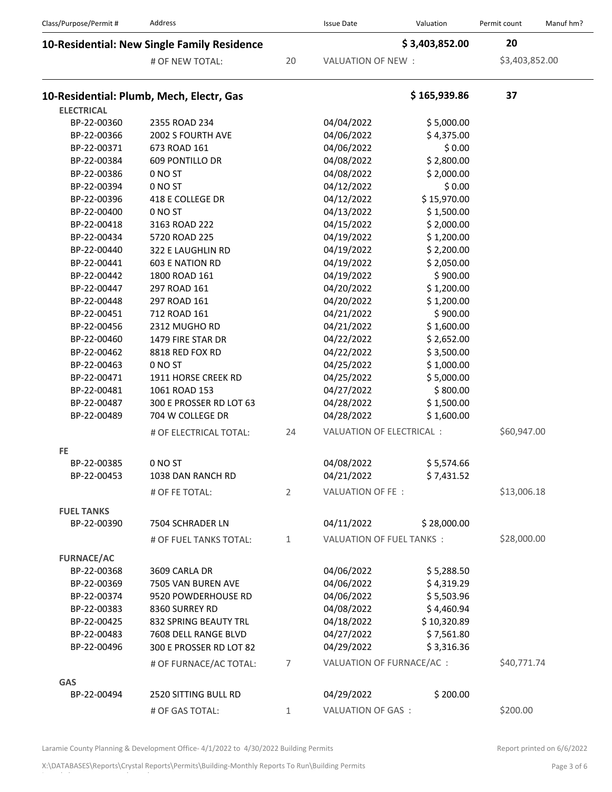| Class/Purpose/Permit #                      | Address                                  |                | <b>Issue Date</b>         | Valuation                 | Permit count   | Manuf hm?   |
|---------------------------------------------|------------------------------------------|----------------|---------------------------|---------------------------|----------------|-------------|
| 10-Residential: New Single Family Residence |                                          |                |                           | \$3,403,852.00            | 20             |             |
|                                             | # OF NEW TOTAL:                          | 20             | VALUATION OF NEW :        |                           | \$3,403,852.00 |             |
|                                             | 10-Residential: Plumb, Mech, Electr, Gas |                |                           | \$165,939.86              | 37             |             |
| <b>ELECTRICAL</b>                           |                                          |                |                           |                           |                |             |
| BP-22-00360                                 | 2355 ROAD 234                            |                | 04/04/2022                | \$5,000.00                |                |             |
| BP-22-00366                                 | 2002 S FOURTH AVE                        |                | 04/06/2022                | \$4,375.00                |                |             |
| BP-22-00371                                 | 673 ROAD 161                             |                | 04/06/2022                | \$0.00                    |                |             |
| BP-22-00384                                 | <b>609 PONTILLO DR</b>                   |                | 04/08/2022                | \$2,800.00                |                |             |
| BP-22-00386                                 | 0 NO ST                                  |                | 04/08/2022                | \$2,000.00                |                |             |
| BP-22-00394                                 | 0 NO ST                                  |                | 04/12/2022                | \$0.00                    |                |             |
| BP-22-00396                                 | 418 E COLLEGE DR                         |                | 04/12/2022                | \$15,970.00               |                |             |
| BP-22-00400                                 | 0 NO ST                                  |                | 04/13/2022                | \$1,500.00                |                |             |
| BP-22-00418                                 | 3163 ROAD 222                            |                | 04/15/2022                | \$2,000.00                |                |             |
| BP-22-00434                                 | 5720 ROAD 225                            |                | 04/19/2022                | \$1,200.00                |                |             |
| BP-22-00440                                 | 322 E LAUGHLIN RD                        |                | 04/19/2022                | \$2,200.00                |                |             |
| BP-22-00441                                 | <b>603 E NATION RD</b>                   |                | 04/19/2022                | \$2,050.00                |                |             |
| BP-22-00442                                 | 1800 ROAD 161                            |                | 04/19/2022                | \$900.00                  |                |             |
| BP-22-00447                                 | 297 ROAD 161                             |                | 04/20/2022                | \$1,200.00                |                |             |
| BP-22-00448                                 | 297 ROAD 161                             |                | 04/20/2022                | \$1,200.00                |                |             |
| BP-22-00451                                 | 712 ROAD 161                             |                | 04/21/2022                | \$900.00                  |                |             |
| BP-22-00456                                 | 2312 MUGHO RD                            |                | 04/21/2022                | \$1,600.00                |                |             |
| BP-22-00460                                 | 1479 FIRE STAR DR                        |                | 04/22/2022                | \$2,652.00                |                |             |
| BP-22-00462                                 | 8818 RED FOX RD                          |                | 04/22/2022                | \$3,500.00                |                |             |
| BP-22-00463                                 | 0 NO ST                                  |                | 04/25/2022                | \$1,000.00                |                |             |
| BP-22-00471                                 | 1911 HORSE CREEK RD                      |                | 04/25/2022                | \$5,000.00                |                |             |
| BP-22-00481                                 | 1061 ROAD 153                            |                | 04/27/2022                | \$800.00                  |                |             |
| BP-22-00487                                 | 300 E PROSSER RD LOT 63                  |                | 04/28/2022                | \$1,500.00                |                |             |
| BP-22-00489                                 | 704 W COLLEGE DR                         |                | 04/28/2022                | \$1,600.00                |                |             |
|                                             | # OF ELECTRICAL TOTAL:                   | 24             |                           | VALUATION OF ELECTRICAL : |                | \$60,947.00 |
| <b>FE</b>                                   |                                          |                |                           |                           |                |             |
| BP-22-00385                                 | 0 NO ST                                  |                | 04/08/2022                | \$5,574.66                |                |             |
| BP-22-00453                                 | 1038 DAN RANCH RD                        |                | 04/21/2022                | \$7,431.52                |                |             |
|                                             | # OF FE TOTAL:                           | $\overline{2}$ | VALUATION OF FE:          |                           | \$13,006.18    |             |
| <b>FUEL TANKS</b>                           |                                          |                |                           |                           |                |             |
| BP-22-00390                                 | 7504 SCHRADER LN                         |                | 04/11/2022                | \$28,000.00               |                |             |
|                                             | # OF FUEL TANKS TOTAL:                   | $\mathbf{1}$   | VALUATION OF FUEL TANKS:  |                           | \$28,000.00    |             |
| <b>FURNACE/AC</b>                           |                                          |                |                           |                           |                |             |
| BP-22-00368                                 | 3609 CARLA DR                            |                | 04/06/2022                | \$5,288.50                |                |             |
| BP-22-00369                                 | 7505 VAN BUREN AVE                       |                | 04/06/2022                | \$4,319.29                |                |             |
| BP-22-00374                                 | 9520 POWDERHOUSE RD                      |                | 04/06/2022                | \$5,503.96                |                |             |
| BP-22-00383                                 | 8360 SURREY RD                           |                | 04/08/2022                | \$4,460.94                |                |             |
| BP-22-00425                                 | 832 SPRING BEAUTY TRL                    |                | 04/18/2022                | \$10,320.89               |                |             |
| BP-22-00483                                 | 7608 DELL RANGE BLVD                     |                | 04/27/2022                | \$7,561.80                |                |             |
| BP-22-00496                                 | 300 E PROSSER RD LOT 82                  |                | 04/29/2022                | \$3,316.36                |                |             |
|                                             | # OF FURNACE/AC TOTAL:                   | $\overline{7}$ | VALUATION OF FURNACE/AC : |                           | \$40,771.74    |             |
|                                             |                                          |                |                           |                           |                |             |
| <b>GAS</b><br>BP-22-00494                   | 2520 SITTING BULL RD                     |                | 04/29/2022                | \$200.00                  |                |             |
|                                             |                                          |                |                           |                           |                |             |
|                                             | # OF GAS TOTAL:                          | $\mathbf{1}$   | VALUATION OF GAS:         |                           | \$200.00       |             |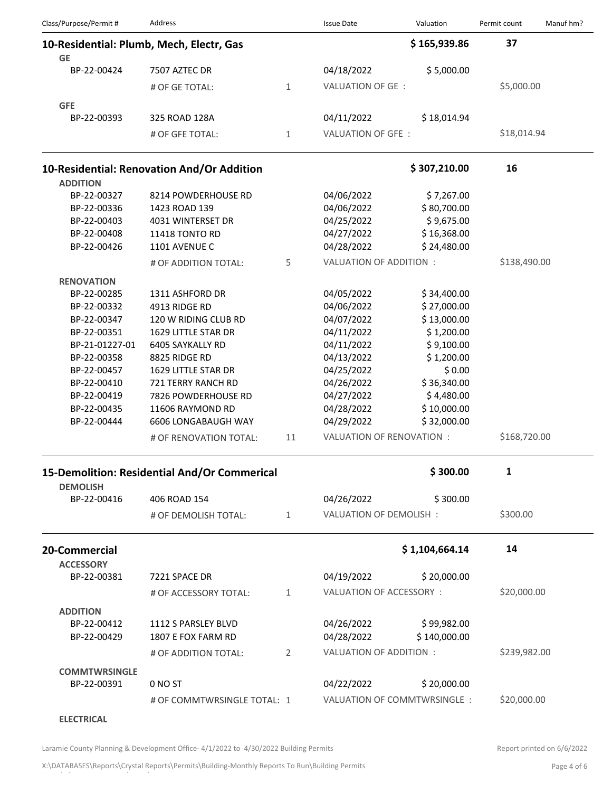| Class/Purpose/Permit #         | <b>Address</b>                               |                | <b>Issue Date</b>           | Valuation      | Permit count | Manuf hm? |
|--------------------------------|----------------------------------------------|----------------|-----------------------------|----------------|--------------|-----------|
|                                | 10-Residential: Plumb, Mech, Electr, Gas     |                |                             | \$165,939.86   | 37           |           |
| <b>GE</b>                      |                                              |                |                             |                |              |           |
| BP-22-00424                    | 7507 AZTEC DR                                |                | 04/18/2022                  | \$5,000.00     |              |           |
|                                | # OF GE TOTAL:                               | $\mathbf{1}$   | VALUATION OF GE :           |                | \$5,000.00   |           |
| <b>GFE</b>                     |                                              |                |                             |                |              |           |
| BP-22-00393                    | 325 ROAD 128A                                |                | 04/11/2022                  | \$18,014.94    |              |           |
|                                | # OF GFE TOTAL:                              | $\mathbf{1}$   | VALUATION OF GFE:           |                | \$18,014.94  |           |
|                                |                                              |                |                             |                |              |           |
|                                | 10-Residential: Renovation And/Or Addition   |                |                             | \$307,210.00   | 16           |           |
| <b>ADDITION</b>                |                                              |                |                             |                |              |           |
| BP-22-00327                    | 8214 POWDERHOUSE RD                          |                | 04/06/2022                  | \$7,267.00     |              |           |
| BP-22-00336                    | 1423 ROAD 139                                |                | 04/06/2022                  | \$80,700.00    |              |           |
| BP-22-00403                    | 4031 WINTERSET DR                            |                | 04/25/2022                  | \$9,675.00     |              |           |
| BP-22-00408                    | 11418 TONTO RD                               |                | 04/27/2022                  | \$16,368.00    |              |           |
| BP-22-00426                    | 1101 AVENUE C                                |                | 04/28/2022                  | \$24,480.00    |              |           |
|                                | # OF ADDITION TOTAL:                         | 5              | VALUATION OF ADDITION :     |                | \$138,490.00 |           |
| <b>RENOVATION</b>              |                                              |                |                             |                |              |           |
| BP-22-00285                    | 1311 ASHFORD DR                              |                | 04/05/2022                  | \$34,400.00    |              |           |
| BP-22-00332                    | 4913 RIDGE RD                                |                | 04/06/2022                  | \$27,000.00    |              |           |
| BP-22-00347                    | 120 W RIDING CLUB RD                         |                | 04/07/2022                  | \$13,000.00    |              |           |
| BP-22-00351                    | 1629 LITTLE STAR DR                          |                | 04/11/2022                  | \$1,200.00     |              |           |
| BP-21-01227-01                 | 6405 SAYKALLY RD                             |                | 04/11/2022                  | \$9,100.00     |              |           |
| BP-22-00358                    | 8825 RIDGE RD                                |                | 04/13/2022                  | \$1,200.00     |              |           |
| BP-22-00457                    | 1629 LITTLE STAR DR                          |                | 04/25/2022                  | \$0.00         |              |           |
| BP-22-00410                    | 721 TERRY RANCH RD                           |                | 04/26/2022                  | \$36,340.00    |              |           |
| BP-22-00419                    | 7826 POWDERHOUSE RD                          |                | 04/27/2022                  | \$4,480.00     |              |           |
| BP-22-00435                    | 11606 RAYMOND RD                             |                | 04/28/2022                  | \$10,000.00    |              |           |
| BP-22-00444                    | <b>6606 LONGABAUGH WAY</b>                   |                | 04/29/2022                  | \$32,000.00    |              |           |
|                                |                                              |                |                             |                |              |           |
|                                | # OF RENOVATION TOTAL:                       | 11             | VALUATION OF RENOVATION :   |                | \$168,720.00 |           |
|                                | 15-Demolition: Residential And/Or Commerical |                |                             | \$300.00       | 1            |           |
| <b>DEMOLISH</b><br>BP-22-00416 | 406 ROAD 154                                 |                | 04/26/2022                  | \$300.00       |              |           |
|                                | # OF DEMOLISH TOTAL:                         | 1              | VALUATION OF DEMOLISH:      |                | \$300.00     |           |
|                                |                                              |                |                             |                |              |           |
| 20-Commercial                  |                                              |                |                             | \$1,104,664.14 | 14           |           |
| <b>ACCESSORY</b>               |                                              |                |                             |                |              |           |
| BP-22-00381                    | 7221 SPACE DR                                |                | 04/19/2022                  | \$20,000.00    |              |           |
|                                | # OF ACCESSORY TOTAL:                        | 1              | VALUATION OF ACCESSORY :    |                | \$20,000.00  |           |
| <b>ADDITION</b>                |                                              |                |                             |                |              |           |
| BP-22-00412                    | 1112 S PARSLEY BLVD                          |                | 04/26/2022                  | \$99,982.00    |              |           |
| BP-22-00429                    | 1807 E FOX FARM RD                           |                | 04/28/2022                  | \$140,000.00   |              |           |
|                                | # OF ADDITION TOTAL:                         | $\overline{2}$ | VALUATION OF ADDITION :     |                | \$239,982.00 |           |
|                                |                                              |                |                             |                |              |           |
| <b>COMMTWRSINGLE</b>           |                                              |                |                             |                |              |           |
| BP-22-00391                    | 0 NO ST                                      |                | 04/22/2022                  | \$20,000.00    |              |           |
|                                | # OF COMMTWRSINGLE TOTAL: 1                  |                | VALUATION OF COMMTWRSINGLE: |                | \$20,000.00  |           |
|                                |                                              |                |                             |                |              |           |
| <b>ELECTRICAL</b>              |                                              |                |                             |                |              |           |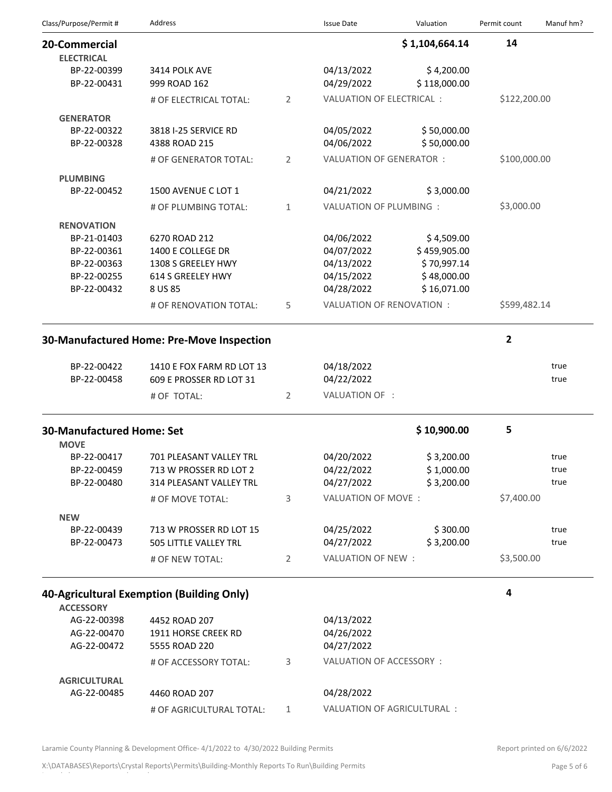| Class/Purpose/Permit#              | <b>Address</b>                            |                | <b>Issue Date</b>         | Valuation                  | Permit count            | Manuf hm? |
|------------------------------------|-------------------------------------------|----------------|---------------------------|----------------------------|-------------------------|-----------|
| 20-Commercial<br><b>ELECTRICAL</b> |                                           |                |                           | \$1,104,664.14             | 14                      |           |
| BP-22-00399<br>BP-22-00431         | 3414 POLK AVE<br>999 ROAD 162             |                | 04/13/2022<br>04/29/2022  | \$4,200.00<br>\$118,000.00 |                         |           |
|                                    | # OF ELECTRICAL TOTAL:                    | 2              | VALUATION OF ELECTRICAL : |                            | \$122,200.00            |           |
| <b>GENERATOR</b>                   |                                           |                |                           |                            |                         |           |
| BP-22-00322<br>BP-22-00328         | 3818 I-25 SERVICE RD<br>4388 ROAD 215     |                | 04/05/2022<br>04/06/2022  | \$50,000.00<br>\$50,000.00 |                         |           |
|                                    | # OF GENERATOR TOTAL:                     | 2              | VALUATION OF GENERATOR :  |                            | \$100,000.00            |           |
| <b>PLUMBING</b>                    |                                           |                |                           |                            |                         |           |
| BP-22-00452                        | 1500 AVENUE C LOT 1                       |                | 04/21/2022                | \$3,000.00                 |                         |           |
|                                    | # OF PLUMBING TOTAL:                      | $\mathbf{1}$   | VALUATION OF PLUMBING :   |                            | \$3,000.00              |           |
| <b>RENOVATION</b>                  |                                           |                |                           |                            |                         |           |
| BP-21-01403                        | 6270 ROAD 212                             |                | 04/06/2022                | \$4,509.00                 |                         |           |
| BP-22-00361                        | 1400 E COLLEGE DR                         |                | 04/07/2022                | \$459,905.00               |                         |           |
| BP-22-00363                        | 1308 S GREELEY HWY                        |                | 04/13/2022                | \$70,997.14                |                         |           |
| BP-22-00255<br>BP-22-00432         | 614 S GREELEY HWY<br>8 US 85              |                | 04/15/2022<br>04/28/2022  | \$48,000.00<br>\$16,071.00 |                         |           |
|                                    | # OF RENOVATION TOTAL:                    | 5              | VALUATION OF RENOVATION : |                            | \$599,482.14            |           |
|                                    |                                           |                |                           |                            |                         |           |
|                                    | 30-Manufactured Home: Pre-Move Inspection |                |                           |                            | $\overline{\mathbf{2}}$ |           |
|                                    |                                           |                |                           |                            |                         |           |
| BP-22-00422                        | 1410 E FOX FARM RD LOT 13                 |                | 04/18/2022                |                            |                         | true      |
| BP-22-00458                        | 609 E PROSSER RD LOT 31                   |                | 04/22/2022                |                            |                         | true      |
|                                    | # OF TOTAL:                               | $\overline{2}$ | VALUATION OF :            |                            |                         |           |
| <b>30-Manufactured Home: Set</b>   |                                           |                |                           | \$10,900.00                | 5                       |           |
| <b>MOVE</b>                        |                                           |                |                           |                            |                         |           |
| BP-22-00417                        | 701 PLEASANT VALLEY TRL                   |                | 04/20/2022                | \$3,200.00                 |                         | true      |
| BP-22-00459                        | 713 W PROSSER RD LOT 2                    |                | 04/22/2022                | \$1,000.00                 |                         | true      |
| BP-22-00480                        | 314 PLEASANT VALLEY TRL                   |                | 04/27/2022                | \$3,200.00                 |                         | true      |
|                                    | # OF MOVE TOTAL:                          | 3              | VALUATION OF MOVE:        |                            | \$7,400.00              |           |
| <b>NEW</b>                         |                                           |                |                           |                            |                         |           |
| BP-22-00439                        | 713 W PROSSER RD LOT 15                   |                | 04/25/2022                | \$300.00                   |                         | true      |
| BP-22-00473                        | 505 LITTLE VALLEY TRL                     |                | 04/27/2022                | \$3,200.00                 |                         | true      |
|                                    | # OF NEW TOTAL:                           | $\overline{2}$ | VALUATION OF NEW :        |                            | \$3,500.00              |           |
|                                    |                                           |                |                           |                            |                         |           |
|                                    | 40-Agricultural Exemption (Building Only) |                |                           |                            | 4                       |           |
| <b>ACCESSORY</b><br>AG-22-00398    | 4452 ROAD 207                             |                | 04/13/2022                |                            |                         |           |
| AG-22-00470                        | 1911 HORSE CREEK RD                       |                | 04/26/2022                |                            |                         |           |
| AG-22-00472                        | 5555 ROAD 220                             |                | 04/27/2022                |                            |                         |           |
|                                    |                                           |                | VALUATION OF ACCESSORY:   |                            |                         |           |
|                                    | # OF ACCESSORY TOTAL:                     | 3              |                           |                            |                         |           |
| <b>AGRICULTURAL</b>                |                                           |                |                           |                            |                         |           |
| AG-22-00485                        | 4460 ROAD 207                             |                | 04/28/2022                |                            |                         |           |

# OF AGRICULTURAL TOTAL: 1 VALUATION OF AGRICULTURAL :